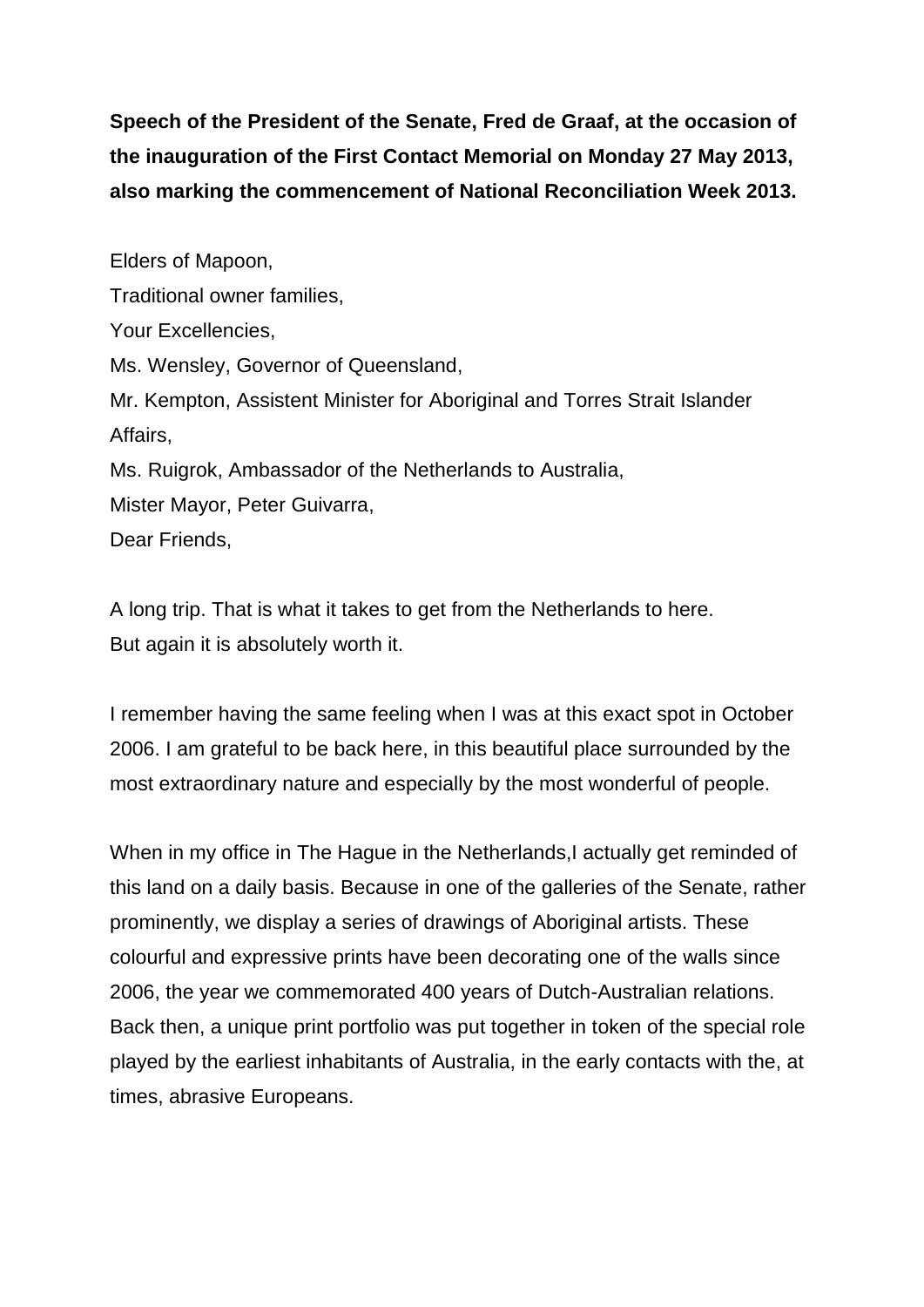**Speech of the President of the Senate, Fred de Graaf, at the occasion of the inauguration of the First Contact Memorial on Monday 27 May 2013, also marking the commencement of National Reconciliation Week 2013.** 

Elders of Mapoon, Traditional owner families, Your Excellencies, Ms. Wensley, Governor of Queensland, Mr. Kempton, Assistent Minister for Aboriginal and Torres Strait Islander Affairs, Ms. Ruigrok, Ambassador of the Netherlands to Australia, Mister Mayor, Peter Guivarra, Dear Friends,

A long trip. That is what it takes to get from the Netherlands to here. But again it is absolutely worth it.

I remember having the same feeling when I was at this exact spot in October 2006. I am grateful to be back here, in this beautiful place surrounded by the most extraordinary nature and especially by the most wonderful of people.

When in my office in The Hague in the Netherlands, actually get reminded of this land on a daily basis. Because in one of the galleries of the Senate, rather prominently, we display a series of drawings of Aboriginal artists. These colourful and expressive prints have been decorating one of the walls since 2006, the year we commemorated 400 years of Dutch-Australian relations. Back then, a unique print portfolio was put together in token of the special role played by the earliest inhabitants of Australia, in the early contacts with the, at times, abrasive Europeans.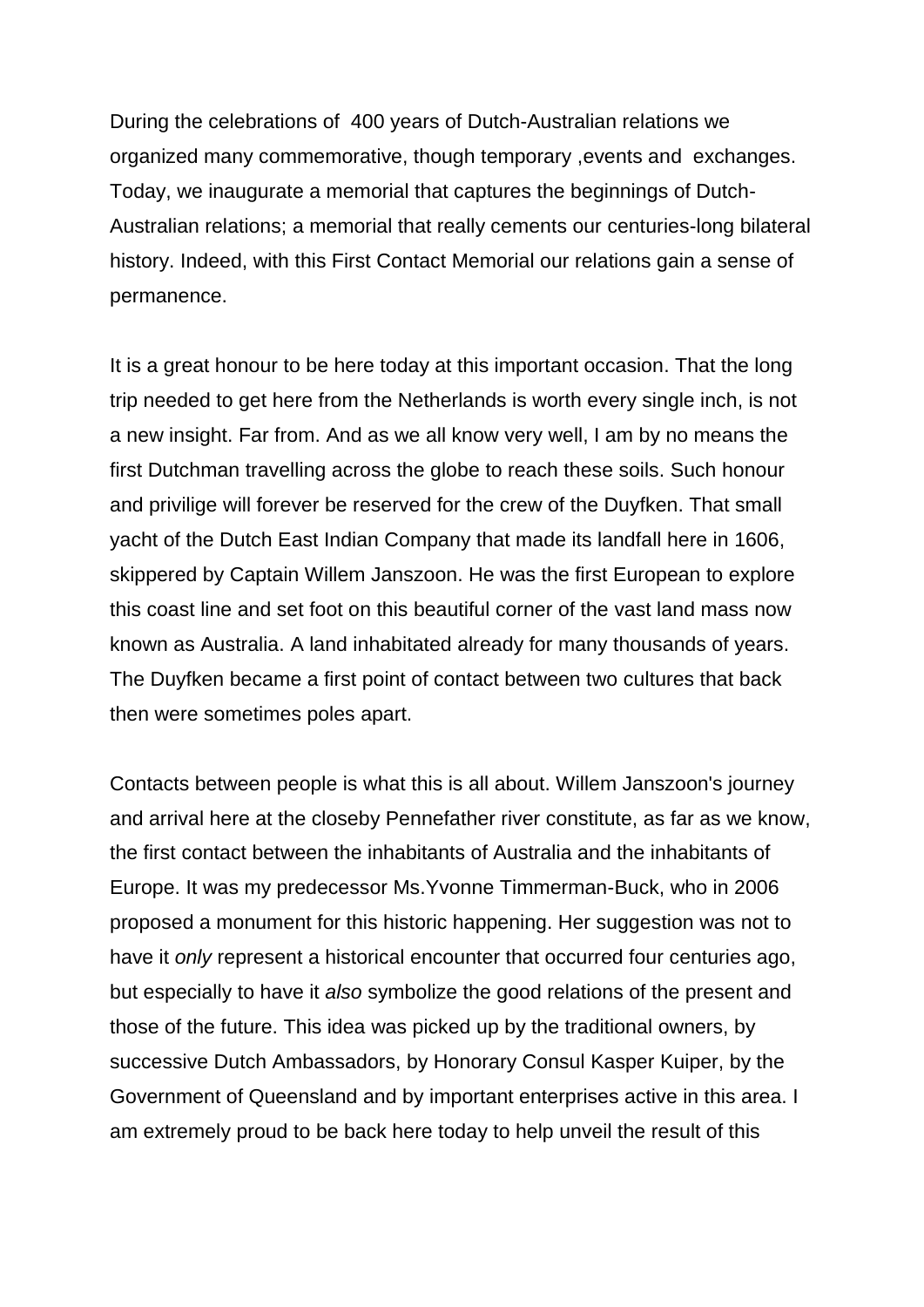During the celebrations of 400 years of Dutch-Australian relations we organized many commemorative, though temporary ,events and exchanges. Today, we inaugurate a memorial that captures the beginnings of Dutch-Australian relations; a memorial that really cements our centuries-long bilateral history. Indeed, with this First Contact Memorial our relations gain a sense of permanence.

It is a great honour to be here today at this important occasion. That the long trip needed to get here from the Netherlands is worth every single inch, is not a new insight. Far from. And as we all know very well, I am by no means the first Dutchman travelling across the globe to reach these soils. Such honour and privilige will forever be reserved for the crew of the Duyfken. That small yacht of the Dutch East Indian Company that made its landfall here in 1606, skippered by Captain Willem Janszoon. He was the first European to explore this coast line and set foot on this beautiful corner of the vast land mass now known as Australia. A land inhabitated already for many thousands of years. The Duyfken became a first point of contact between two cultures that back then were sometimes poles apart.

Contacts between people is what this is all about. Willem Janszoon's journey and arrival here at the closeby Pennefather river constitute, as far as we know, the first contact between the inhabitants of Australia and the inhabitants of Europe. It was my predecessor Ms.Yvonne Timmerman-Buck, who in 2006 proposed a monument for this historic happening. Her suggestion was not to have it *only* represent a historical encounter that occurred four centuries ago, but especially to have it *also* symbolize the good relations of the present and those of the future. This idea was picked up by the traditional owners, by successive Dutch Ambassadors, by Honorary Consul Kasper Kuiper, by the Government of Queensland and by important enterprises active in this area. I am extremely proud to be back here today to help unveil the result of this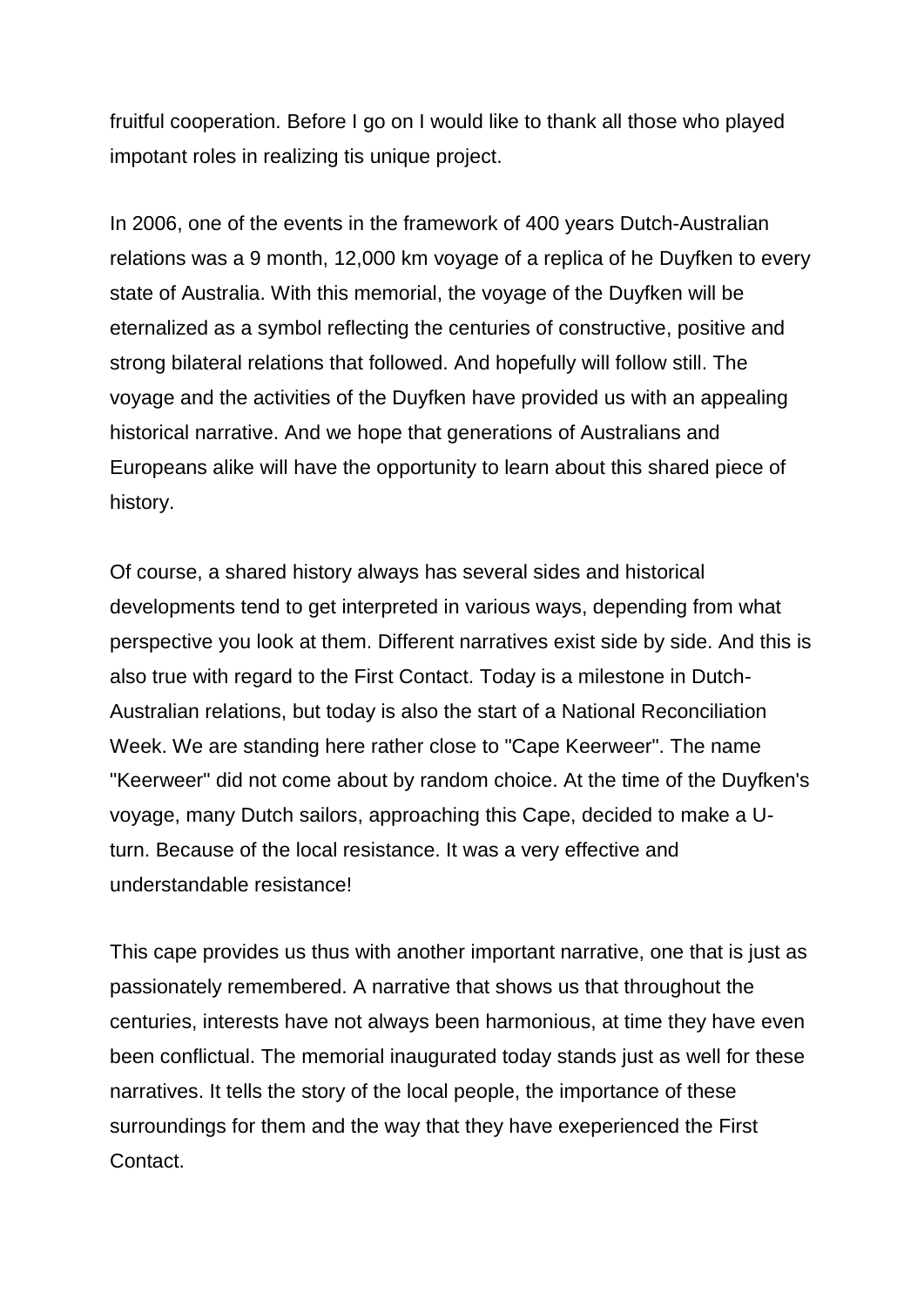fruitful cooperation. Before I go on I would like to thank all those who played impotant roles in realizing tis unique project.

In 2006, one of the events in the framework of 400 years Dutch-Australian relations was a 9 month, 12,000 km voyage of a replica of he Duyfken to every state of Australia. With this memorial, the voyage of the Duyfken will be eternalized as a symbol reflecting the centuries of constructive, positive and strong bilateral relations that followed. And hopefully will follow still. The voyage and the activities of the Duyfken have provided us with an appealing historical narrative. And we hope that generations of Australians and Europeans alike will have the opportunity to learn about this shared piece of history.

Of course, a shared history always has several sides and historical developments tend to get interpreted in various ways, depending from what perspective you look at them. Different narratives exist side by side. And this is also true with regard to the First Contact. Today is a milestone in Dutch-Australian relations, but today is also the start of a National Reconciliation Week. We are standing here rather close to "Cape Keerweer". The name "Keerweer" did not come about by random choice. At the time of the Duyfken's voyage, many Dutch sailors, approaching this Cape, decided to make a Uturn. Because of the local resistance. It was a very effective and understandable resistance!

This cape provides us thus with another important narrative, one that is just as passionately remembered. A narrative that shows us that throughout the centuries, interests have not always been harmonious, at time they have even been conflictual. The memorial inaugurated today stands just as well for these narratives. It tells the story of the local people, the importance of these surroundings for them and the way that they have exeperienced the First Contact.